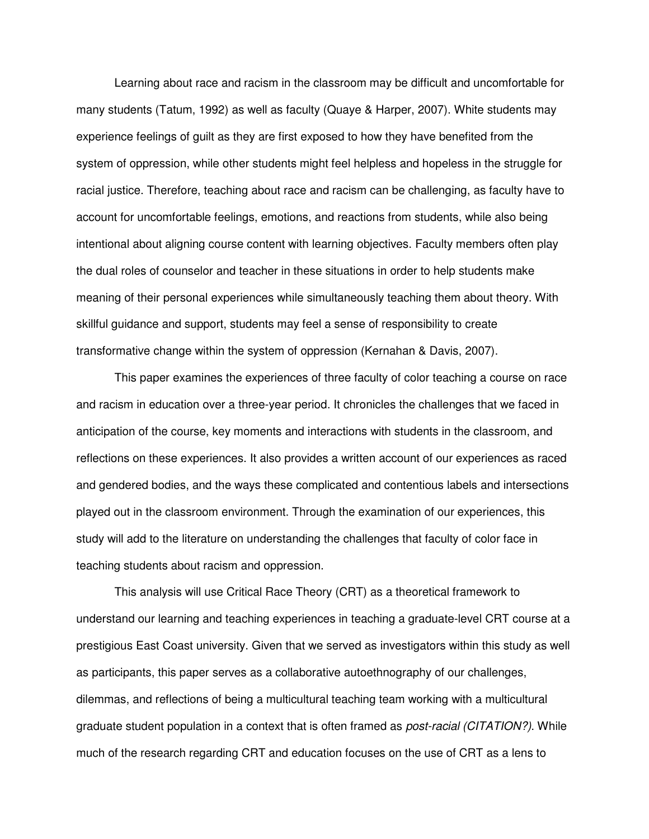Learning about race and racism in the classroom may be difficult and uncomfortable for many students (Tatum, 1992) as well as faculty (Quaye & Harper, 2007). White students may experience feelings of guilt as they are first exposed to how they have benefited from the system of oppression, while other students might feel helpless and hopeless in the struggle for racial justice. Therefore, teaching about race and racism can be challenging, as faculty have to account for uncomfortable feelings, emotions, and reactions from students, while also being intentional about aligning course content with learning objectives. Faculty members often play the dual roles of counselor and teacher in these situations in order to help students make meaning of their personal experiences while simultaneously teaching them about theory. With skillful guidance and support, students may feel a sense of responsibility to create transformative change within the system of oppression (Kernahan & Davis, 2007).

This paper examines the experiences of three faculty of color teaching a course on race and racism in education over a three-year period. It chronicles the challenges that we faced in anticipation of the course, key moments and interactions with students in the classroom, and reflections on these experiences. It also provides a written account of our experiences as raced and gendered bodies, and the ways these complicated and contentious labels and intersections played out in the classroom environment. Through the examination of our experiences, this study will add to the literature on understanding the challenges that faculty of color face in teaching students about racism and oppression.

This analysis will use Critical Race Theory (CRT) as a theoretical framework to understand our learning and teaching experiences in teaching a graduate-level CRT course at a prestigious East Coast university. Given that we served as investigators within this study as well as participants, this paper serves as a collaborative autoethnography of our challenges, dilemmas, and reflections of being a multicultural teaching team working with a multicultural graduate student population in a context that is often framed as *post-racial (CITATION?)*. While much of the research regarding CRT and education focuses on the use of CRT as a lens to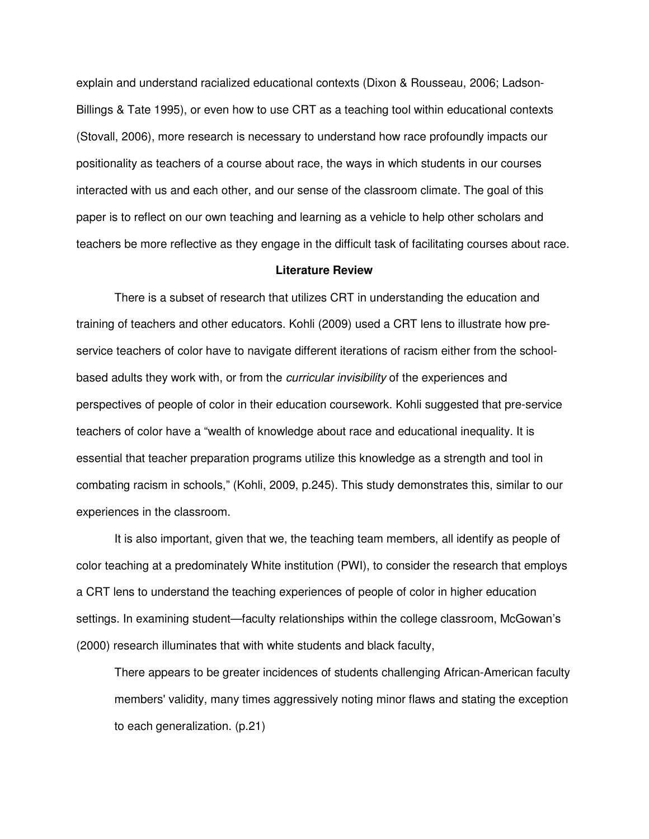explain and understand racialized educational contexts (Dixon & Rousseau, 2006; Ladson-Billings & Tate 1995), or even how to use CRT as a teaching tool within educational contexts (Stovall, 2006), more research is necessary to understand how race profoundly impacts our positionality as teachers of a course about race, the ways in which students in our courses interacted with us and each other, and our sense of the classroom climate. The goal of this paper is to reflect on our own teaching and learning as a vehicle to help other scholars and teachers be more reflective as they engage in the difficult task of facilitating courses about race.

#### **Literature Review**

There is a subset of research that utilizes CRT in understanding the education and training of teachers and other educators. Kohli (2009) used a CRT lens to illustrate how preservice teachers of color have to navigate different iterations of racism either from the schoolbased adults they work with, or from the curricular invisibility of the experiences and perspectives of people of color in their education coursework. Kohli suggested that pre-service teachers of color have a "wealth of knowledge about race and educational inequality. It is essential that teacher preparation programs utilize this knowledge as a strength and tool in combating racism in schools," (Kohli, 2009, p.245). This study demonstrates this, similar to our experiences in the classroom.

It is also important, given that we, the teaching team members, all identify as people of color teaching at a predominately White institution (PWI), to consider the research that employs a CRT lens to understand the teaching experiences of people of color in higher education settings. In examining student—faculty relationships within the college classroom, McGowan's (2000) research illuminates that with white students and black faculty,

There appears to be greater incidences of students challenging African-American faculty members' validity, many times aggressively noting minor flaws and stating the exception to each generalization. (p.21)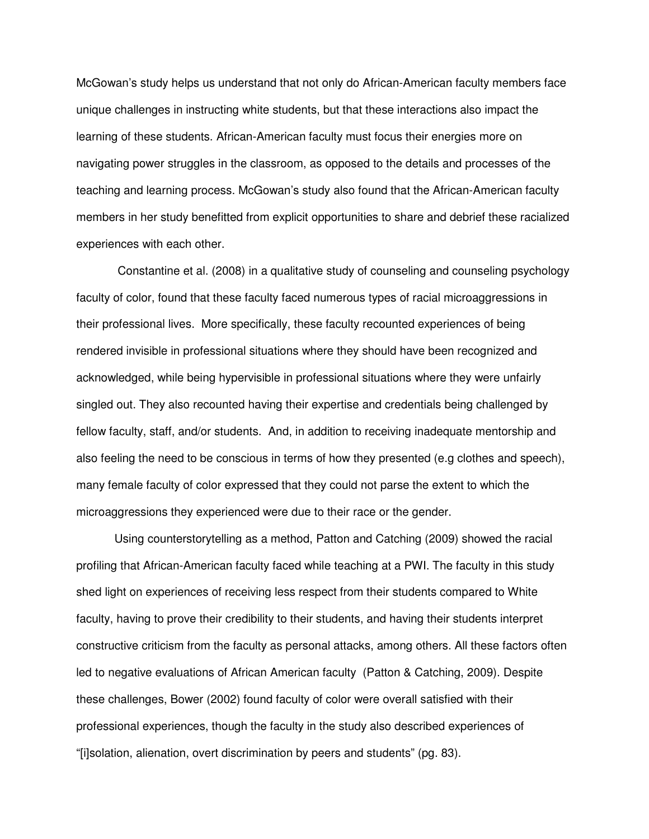McGowan's study helps us understand that not only do African-American faculty members face unique challenges in instructing white students, but that these interactions also impact the learning of these students. African-American faculty must focus their energies more on navigating power struggles in the classroom, as opposed to the details and processes of the teaching and learning process. McGowan's study also found that the African-American faculty members in her study benefitted from explicit opportunities to share and debrief these racialized experiences with each other.

 Constantine et al. (2008) in a qualitative study of counseling and counseling psychology faculty of color, found that these faculty faced numerous types of racial microaggressions in their professional lives. More specifically, these faculty recounted experiences of being rendered invisible in professional situations where they should have been recognized and acknowledged, while being hypervisible in professional situations where they were unfairly singled out. They also recounted having their expertise and credentials being challenged by fellow faculty, staff, and/or students. And, in addition to receiving inadequate mentorship and also feeling the need to be conscious in terms of how they presented (e.g clothes and speech), many female faculty of color expressed that they could not parse the extent to which the microaggressions they experienced were due to their race or the gender.

Using counterstorytelling as a method, Patton and Catching (2009) showed the racial profiling that African-American faculty faced while teaching at a PWI. The faculty in this study shed light on experiences of receiving less respect from their students compared to White faculty, having to prove their credibility to their students, and having their students interpret constructive criticism from the faculty as personal attacks, among others. All these factors often led to negative evaluations of African American faculty (Patton & Catching, 2009). Despite these challenges, Bower (2002) found faculty of color were overall satisfied with their professional experiences, though the faculty in the study also described experiences of "[i]solation, alienation, overt discrimination by peers and students" (pg. 83).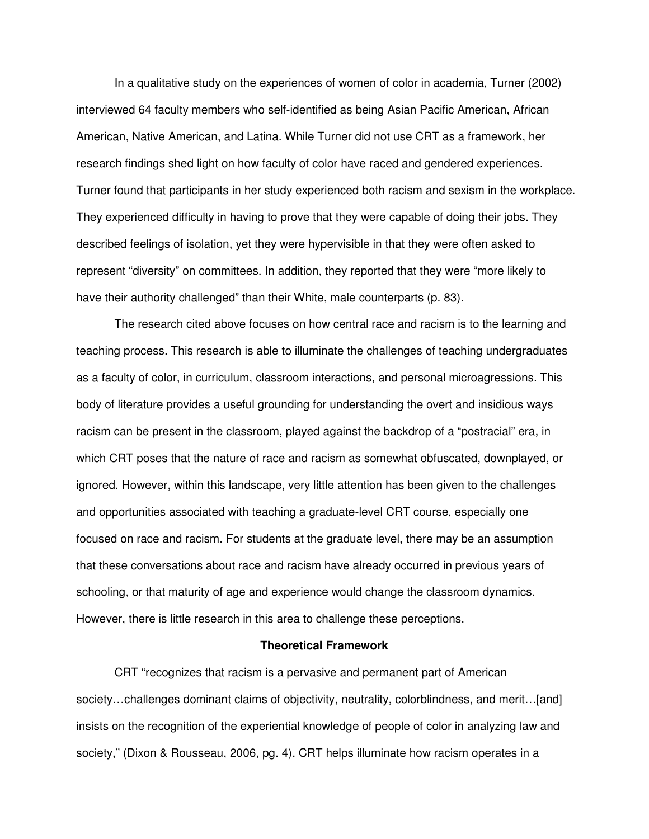In a qualitative study on the experiences of women of color in academia, Turner (2002) interviewed 64 faculty members who self-identified as being Asian Pacific American, African American, Native American, and Latina. While Turner did not use CRT as a framework, her research findings shed light on how faculty of color have raced and gendered experiences. Turner found that participants in her study experienced both racism and sexism in the workplace. They experienced difficulty in having to prove that they were capable of doing their jobs. They described feelings of isolation, yet they were hypervisible in that they were often asked to represent "diversity" on committees. In addition, they reported that they were "more likely to have their authority challenged" than their White, male counterparts (p. 83).

The research cited above focuses on how central race and racism is to the learning and teaching process. This research is able to illuminate the challenges of teaching undergraduates as a faculty of color, in curriculum, classroom interactions, and personal microagressions. This body of literature provides a useful grounding for understanding the overt and insidious ways racism can be present in the classroom, played against the backdrop of a "postracial" era, in which CRT poses that the nature of race and racism as somewhat obfuscated, downplayed, or ignored. However, within this landscape, very little attention has been given to the challenges and opportunities associated with teaching a graduate-level CRT course, especially one focused on race and racism. For students at the graduate level, there may be an assumption that these conversations about race and racism have already occurred in previous years of schooling, or that maturity of age and experience would change the classroom dynamics. However, there is little research in this area to challenge these perceptions.

# **Theoretical Framework**

CRT "recognizes that racism is a pervasive and permanent part of American society…challenges dominant claims of objectivity, neutrality, colorblindness, and merit…[and] insists on the recognition of the experiential knowledge of people of color in analyzing law and society," (Dixon & Rousseau, 2006, pg. 4). CRT helps illuminate how racism operates in a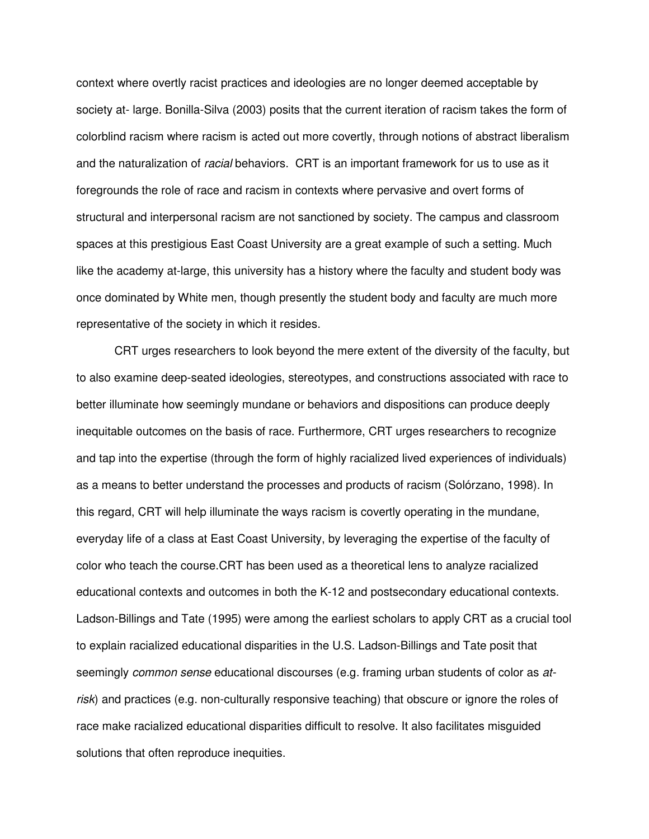context where overtly racist practices and ideologies are no longer deemed acceptable by society at- large. Bonilla-Silva (2003) posits that the current iteration of racism takes the form of colorblind racism where racism is acted out more covertly, through notions of abstract liberalism and the naturalization of *racial* behaviors. CRT is an important framework for us to use as it foregrounds the role of race and racism in contexts where pervasive and overt forms of structural and interpersonal racism are not sanctioned by society. The campus and classroom spaces at this prestigious East Coast University are a great example of such a setting. Much like the academy at-large, this university has a history where the faculty and student body was once dominated by White men, though presently the student body and faculty are much more representative of the society in which it resides.

CRT urges researchers to look beyond the mere extent of the diversity of the faculty, but to also examine deep-seated ideologies, stereotypes, and constructions associated with race to better illuminate how seemingly mundane or behaviors and dispositions can produce deeply inequitable outcomes on the basis of race. Furthermore, CRT urges researchers to recognize and tap into the expertise (through the form of highly racialized lived experiences of individuals) as a means to better understand the processes and products of racism (Solórzano, 1998). In this regard, CRT will help illuminate the ways racism is covertly operating in the mundane, everyday life of a class at East Coast University, by leveraging the expertise of the faculty of color who teach the course.CRT has been used as a theoretical lens to analyze racialized educational contexts and outcomes in both the K-12 and postsecondary educational contexts. Ladson-Billings and Tate (1995) were among the earliest scholars to apply CRT as a crucial tool to explain racialized educational disparities in the U.S. Ladson-Billings and Tate posit that seemingly *common sense* educational discourses (e.g. framing urban students of color as atrisk) and practices (e.g. non-culturally responsive teaching) that obscure or ignore the roles of race make racialized educational disparities difficult to resolve. It also facilitates misguided solutions that often reproduce inequities.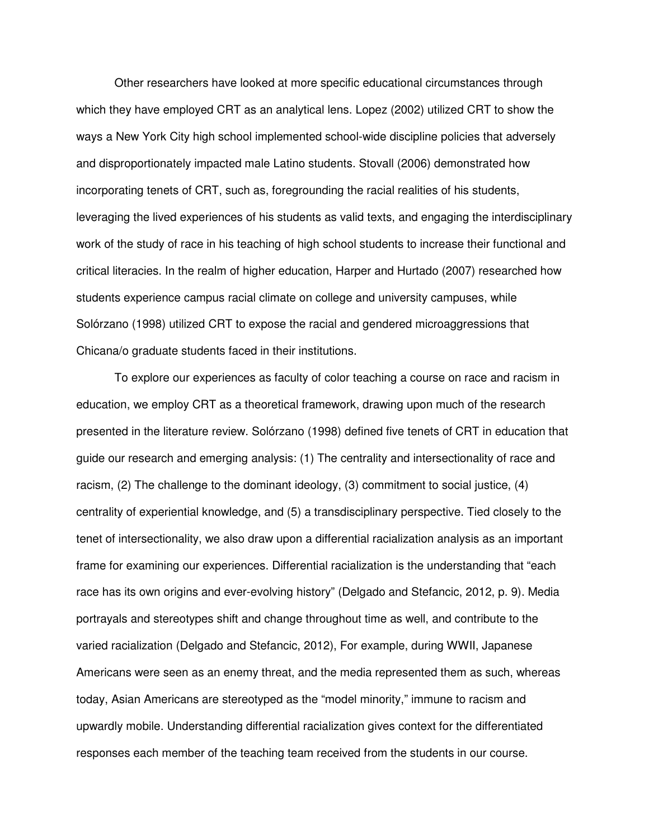Other researchers have looked at more specific educational circumstances through which they have employed CRT as an analytical lens. Lopez (2002) utilized CRT to show the ways a New York City high school implemented school-wide discipline policies that adversely and disproportionately impacted male Latino students. Stovall (2006) demonstrated how incorporating tenets of CRT, such as, foregrounding the racial realities of his students, leveraging the lived experiences of his students as valid texts, and engaging the interdisciplinary work of the study of race in his teaching of high school students to increase their functional and critical literacies. In the realm of higher education, Harper and Hurtado (2007) researched how students experience campus racial climate on college and university campuses, while Solórzano (1998) utilized CRT to expose the racial and gendered microaggressions that Chicana/o graduate students faced in their institutions.

To explore our experiences as faculty of color teaching a course on race and racism in education, we employ CRT as a theoretical framework, drawing upon much of the research presented in the literature review. Solórzano (1998) defined five tenets of CRT in education that guide our research and emerging analysis: (1) The centrality and intersectionality of race and racism, (2) The challenge to the dominant ideology, (3) commitment to social justice, (4) centrality of experiential knowledge, and (5) a transdisciplinary perspective. Tied closely to the tenet of intersectionality, we also draw upon a differential racialization analysis as an important frame for examining our experiences. Differential racialization is the understanding that "each race has its own origins and ever-evolving history" (Delgado and Stefancic, 2012, p. 9). Media portrayals and stereotypes shift and change throughout time as well, and contribute to the varied racialization (Delgado and Stefancic, 2012), For example, during WWII, Japanese Americans were seen as an enemy threat, and the media represented them as such, whereas today, Asian Americans are stereotyped as the "model minority," immune to racism and upwardly mobile. Understanding differential racialization gives context for the differentiated responses each member of the teaching team received from the students in our course.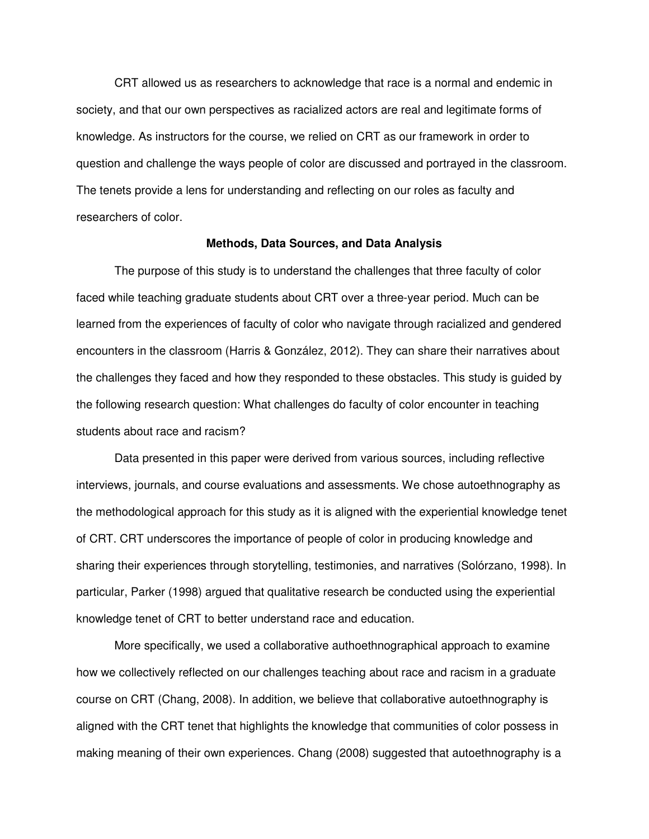CRT allowed us as researchers to acknowledge that race is a normal and endemic in society, and that our own perspectives as racialized actors are real and legitimate forms of knowledge. As instructors for the course, we relied on CRT as our framework in order to question and challenge the ways people of color are discussed and portrayed in the classroom. The tenets provide a lens for understanding and reflecting on our roles as faculty and researchers of color.

### **Methods, Data Sources, and Data Analysis**

The purpose of this study is to understand the challenges that three faculty of color faced while teaching graduate students about CRT over a three-year period. Much can be learned from the experiences of faculty of color who navigate through racialized and gendered encounters in the classroom (Harris & González, 2012). They can share their narratives about the challenges they faced and how they responded to these obstacles. This study is guided by the following research question: What challenges do faculty of color encounter in teaching students about race and racism?

Data presented in this paper were derived from various sources, including reflective interviews, journals, and course evaluations and assessments. We chose autoethnography as the methodological approach for this study as it is aligned with the experiential knowledge tenet of CRT. CRT underscores the importance of people of color in producing knowledge and sharing their experiences through storytelling, testimonies, and narratives (Solórzano, 1998). In particular, Parker (1998) argued that qualitative research be conducted using the experiential knowledge tenet of CRT to better understand race and education.

More specifically, we used a collaborative authoethnographical approach to examine how we collectively reflected on our challenges teaching about race and racism in a graduate course on CRT (Chang, 2008). In addition, we believe that collaborative autoethnography is aligned with the CRT tenet that highlights the knowledge that communities of color possess in making meaning of their own experiences. Chang (2008) suggested that autoethnography is a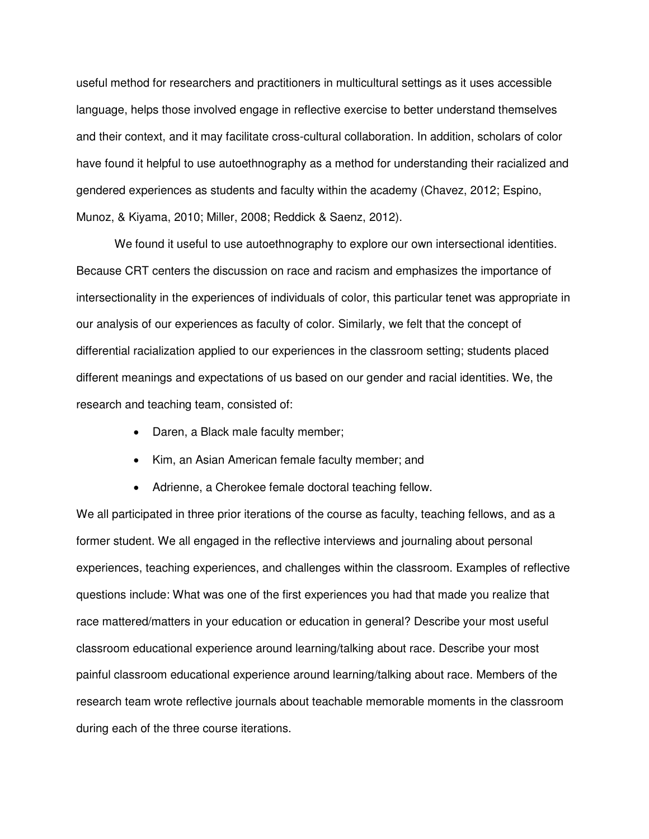useful method for researchers and practitioners in multicultural settings as it uses accessible language, helps those involved engage in reflective exercise to better understand themselves and their context, and it may facilitate cross-cultural collaboration. In addition, scholars of color have found it helpful to use autoethnography as a method for understanding their racialized and gendered experiences as students and faculty within the academy (Chavez, 2012; Espino, Munoz, & Kiyama, 2010; Miller, 2008; Reddick & Saenz, 2012).

We found it useful to use autoethnography to explore our own intersectional identities. Because CRT centers the discussion on race and racism and emphasizes the importance of intersectionality in the experiences of individuals of color, this particular tenet was appropriate in our analysis of our experiences as faculty of color. Similarly, we felt that the concept of differential racialization applied to our experiences in the classroom setting; students placed different meanings and expectations of us based on our gender and racial identities. We, the research and teaching team, consisted of:

- Daren, a Black male faculty member;
- Kim, an Asian American female faculty member; and
- Adrienne, a Cherokee female doctoral teaching fellow.

We all participated in three prior iterations of the course as faculty, teaching fellows, and as a former student. We all engaged in the reflective interviews and journaling about personal experiences, teaching experiences, and challenges within the classroom. Examples of reflective questions include: What was one of the first experiences you had that made you realize that race mattered/matters in your education or education in general? Describe your most useful classroom educational experience around learning/talking about race. Describe your most painful classroom educational experience around learning/talking about race. Members of the research team wrote reflective journals about teachable memorable moments in the classroom during each of the three course iterations.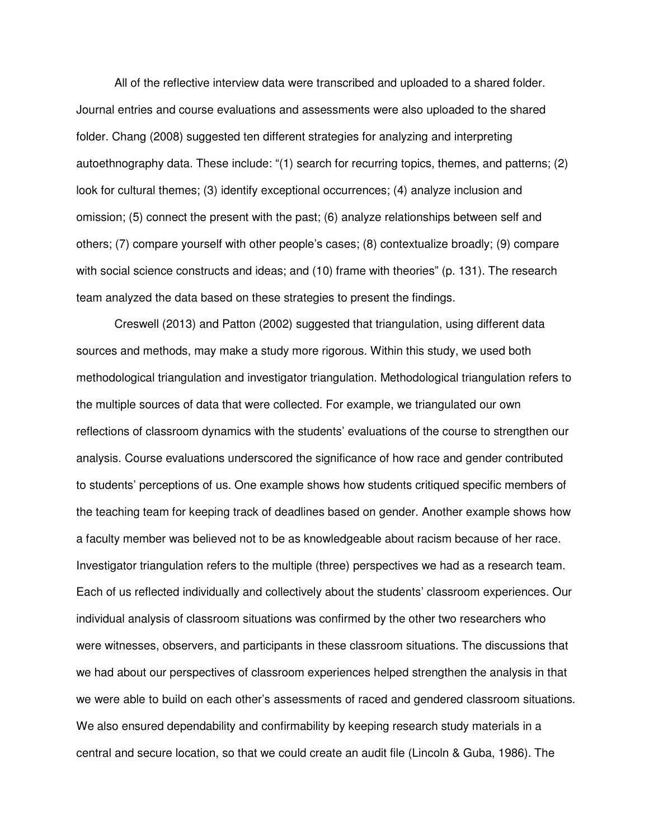All of the reflective interview data were transcribed and uploaded to a shared folder. Journal entries and course evaluations and assessments were also uploaded to the shared folder. Chang (2008) suggested ten different strategies for analyzing and interpreting autoethnography data. These include: "(1) search for recurring topics, themes, and patterns; (2) look for cultural themes; (3) identify exceptional occurrences; (4) analyze inclusion and omission; (5) connect the present with the past; (6) analyze relationships between self and others; (7) compare yourself with other people's cases; (8) contextualize broadly; (9) compare with social science constructs and ideas; and (10) frame with theories" (p. 131). The research team analyzed the data based on these strategies to present the findings.

Creswell (2013) and Patton (2002) suggested that triangulation, using different data sources and methods, may make a study more rigorous. Within this study, we used both methodological triangulation and investigator triangulation. Methodological triangulation refers to the multiple sources of data that were collected. For example, we triangulated our own reflections of classroom dynamics with the students' evaluations of the course to strengthen our analysis. Course evaluations underscored the significance of how race and gender contributed to students' perceptions of us. One example shows how students critiqued specific members of the teaching team for keeping track of deadlines based on gender. Another example shows how a faculty member was believed not to be as knowledgeable about racism because of her race. Investigator triangulation refers to the multiple (three) perspectives we had as a research team. Each of us reflected individually and collectively about the students' classroom experiences. Our individual analysis of classroom situations was confirmed by the other two researchers who were witnesses, observers, and participants in these classroom situations. The discussions that we had about our perspectives of classroom experiences helped strengthen the analysis in that we were able to build on each other's assessments of raced and gendered classroom situations. We also ensured dependability and confirmability by keeping research study materials in a central and secure location, so that we could create an audit file (Lincoln & Guba, 1986). The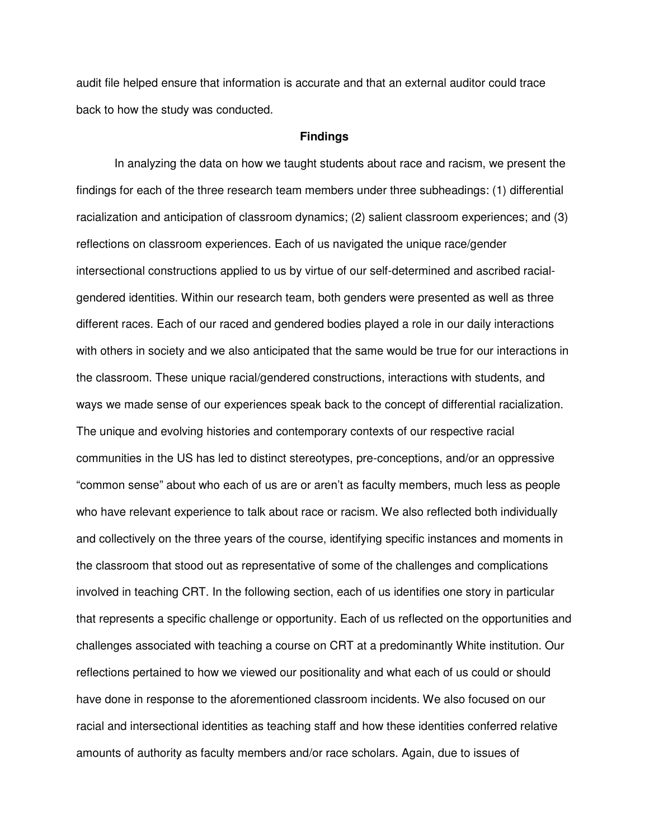audit file helped ensure that information is accurate and that an external auditor could trace back to how the study was conducted.

### **Findings**

In analyzing the data on how we taught students about race and racism, we present the findings for each of the three research team members under three subheadings: (1) differential racialization and anticipation of classroom dynamics; (2) salient classroom experiences; and (3) reflections on classroom experiences. Each of us navigated the unique race/gender intersectional constructions applied to us by virtue of our self-determined and ascribed racialgendered identities. Within our research team, both genders were presented as well as three different races. Each of our raced and gendered bodies played a role in our daily interactions with others in society and we also anticipated that the same would be true for our interactions in the classroom. These unique racial/gendered constructions, interactions with students, and ways we made sense of our experiences speak back to the concept of differential racialization. The unique and evolving histories and contemporary contexts of our respective racial communities in the US has led to distinct stereotypes, pre-conceptions, and/or an oppressive "common sense" about who each of us are or aren't as faculty members, much less as people who have relevant experience to talk about race or racism. We also reflected both individually and collectively on the three years of the course, identifying specific instances and moments in the classroom that stood out as representative of some of the challenges and complications involved in teaching CRT. In the following section, each of us identifies one story in particular that represents a specific challenge or opportunity. Each of us reflected on the opportunities and challenges associated with teaching a course on CRT at a predominantly White institution. Our reflections pertained to how we viewed our positionality and what each of us could or should have done in response to the aforementioned classroom incidents. We also focused on our racial and intersectional identities as teaching staff and how these identities conferred relative amounts of authority as faculty members and/or race scholars. Again, due to issues of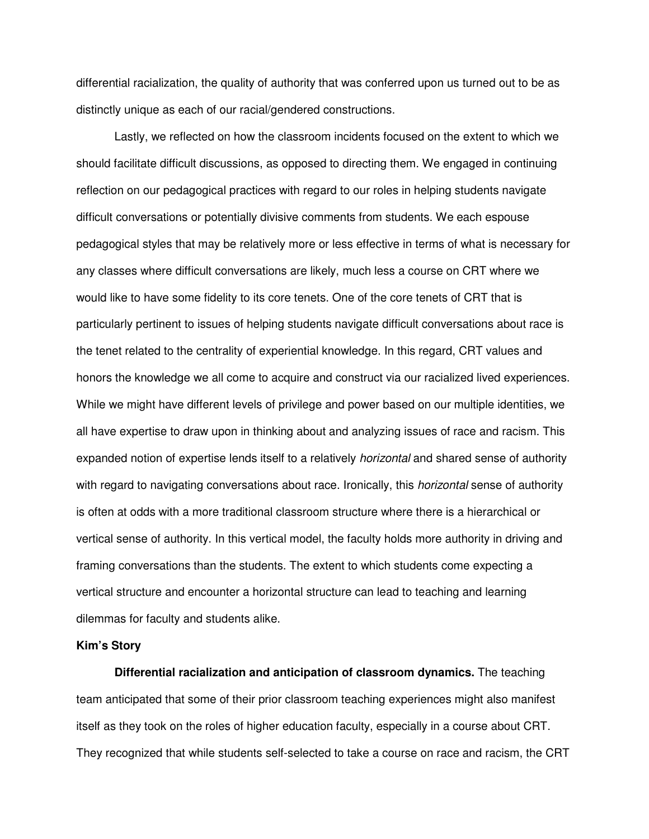differential racialization, the quality of authority that was conferred upon us turned out to be as distinctly unique as each of our racial/gendered constructions.

Lastly, we reflected on how the classroom incidents focused on the extent to which we should facilitate difficult discussions, as opposed to directing them. We engaged in continuing reflection on our pedagogical practices with regard to our roles in helping students navigate difficult conversations or potentially divisive comments from students. We each espouse pedagogical styles that may be relatively more or less effective in terms of what is necessary for any classes where difficult conversations are likely, much less a course on CRT where we would like to have some fidelity to its core tenets. One of the core tenets of CRT that is particularly pertinent to issues of helping students navigate difficult conversations about race is the tenet related to the centrality of experiential knowledge. In this regard, CRT values and honors the knowledge we all come to acquire and construct via our racialized lived experiences. While we might have different levels of privilege and power based on our multiple identities, we all have expertise to draw upon in thinking about and analyzing issues of race and racism. This expanded notion of expertise lends itself to a relatively *horizontal* and shared sense of authority with regard to navigating conversations about race. Ironically, this *horizontal* sense of authority is often at odds with a more traditional classroom structure where there is a hierarchical or vertical sense of authority. In this vertical model, the faculty holds more authority in driving and framing conversations than the students. The extent to which students come expecting a vertical structure and encounter a horizontal structure can lead to teaching and learning dilemmas for faculty and students alike.

# **Kim's Story**

**Differential racialization and anticipation of classroom dynamics.** The teaching team anticipated that some of their prior classroom teaching experiences might also manifest itself as they took on the roles of higher education faculty, especially in a course about CRT. They recognized that while students self-selected to take a course on race and racism, the CRT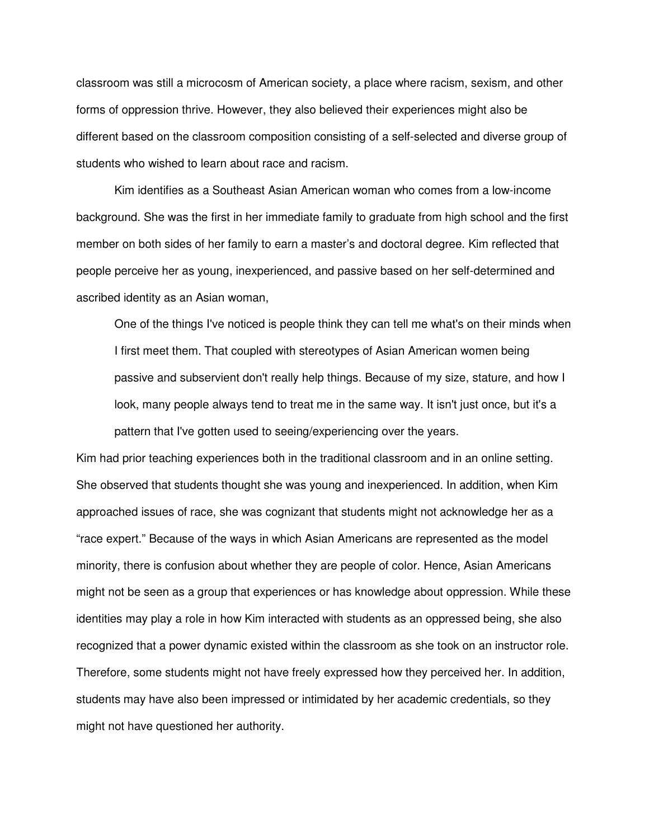classroom was still a microcosm of American society, a place where racism, sexism, and other forms of oppression thrive. However, they also believed their experiences might also be different based on the classroom composition consisting of a self-selected and diverse group of students who wished to learn about race and racism.

Kim identifies as a Southeast Asian American woman who comes from a low-income background. She was the first in her immediate family to graduate from high school and the first member on both sides of her family to earn a master's and doctoral degree. Kim reflected that people perceive her as young, inexperienced, and passive based on her self-determined and ascribed identity as an Asian woman,

One of the things I've noticed is people think they can tell me what's on their minds when I first meet them. That coupled with stereotypes of Asian American women being passive and subservient don't really help things. Because of my size, stature, and how I look, many people always tend to treat me in the same way. It isn't just once, but it's a pattern that I've gotten used to seeing/experiencing over the years.

Kim had prior teaching experiences both in the traditional classroom and in an online setting. She observed that students thought she was young and inexperienced. In addition, when Kim approached issues of race, she was cognizant that students might not acknowledge her as a "race expert." Because of the ways in which Asian Americans are represented as the model minority, there is confusion about whether they are people of color. Hence, Asian Americans might not be seen as a group that experiences or has knowledge about oppression. While these identities may play a role in how Kim interacted with students as an oppressed being, she also recognized that a power dynamic existed within the classroom as she took on an instructor role. Therefore, some students might not have freely expressed how they perceived her. In addition, students may have also been impressed or intimidated by her academic credentials, so they might not have questioned her authority.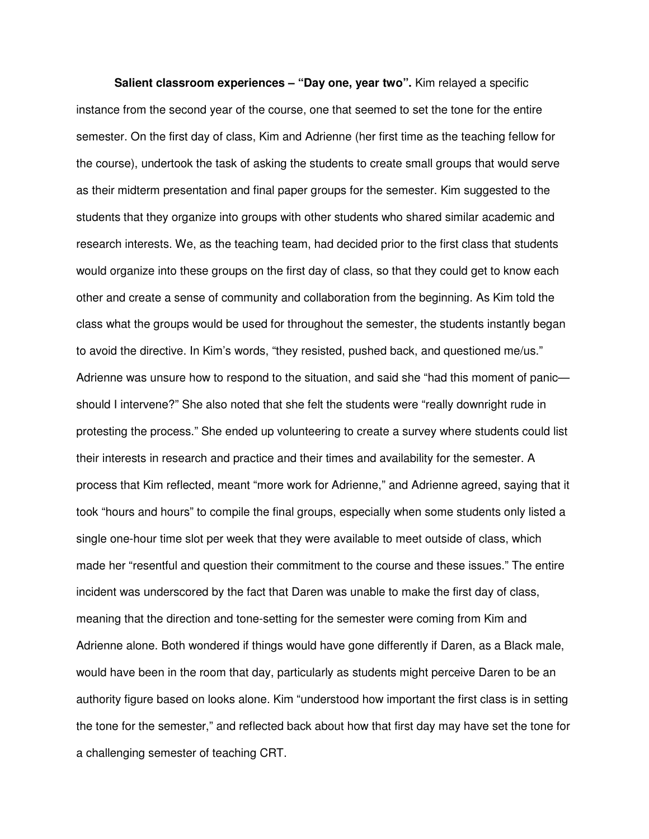**Salient classroom experiences – "Day one, year two".** Kim relayed a specific instance from the second year of the course, one that seemed to set the tone for the entire semester. On the first day of class, Kim and Adrienne (her first time as the teaching fellow for the course), undertook the task of asking the students to create small groups that would serve as their midterm presentation and final paper groups for the semester. Kim suggested to the students that they organize into groups with other students who shared similar academic and research interests. We, as the teaching team, had decided prior to the first class that students would organize into these groups on the first day of class, so that they could get to know each other and create a sense of community and collaboration from the beginning. As Kim told the class what the groups would be used for throughout the semester, the students instantly began to avoid the directive. In Kim's words, "they resisted, pushed back, and questioned me/us." Adrienne was unsure how to respond to the situation, and said she "had this moment of panic should I intervene?" She also noted that she felt the students were "really downright rude in protesting the process." She ended up volunteering to create a survey where students could list their interests in research and practice and their times and availability for the semester. A process that Kim reflected, meant "more work for Adrienne," and Adrienne agreed, saying that it took "hours and hours" to compile the final groups, especially when some students only listed a single one-hour time slot per week that they were available to meet outside of class, which made her "resentful and question their commitment to the course and these issues." The entire incident was underscored by the fact that Daren was unable to make the first day of class, meaning that the direction and tone-setting for the semester were coming from Kim and Adrienne alone. Both wondered if things would have gone differently if Daren, as a Black male, would have been in the room that day, particularly as students might perceive Daren to be an authority figure based on looks alone. Kim "understood how important the first class is in setting the tone for the semester," and reflected back about how that first day may have set the tone for a challenging semester of teaching CRT.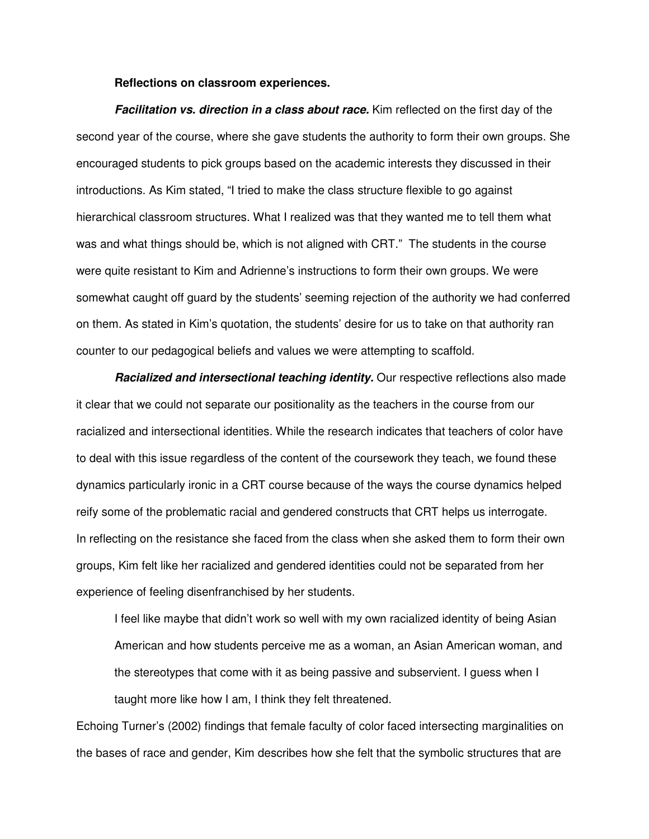#### **Reflections on classroom experiences.**

**Facilitation vs. direction in a class about race.** Kim reflected on the first day of the second year of the course, where she gave students the authority to form their own groups. She encouraged students to pick groups based on the academic interests they discussed in their introductions. As Kim stated, "I tried to make the class structure flexible to go against hierarchical classroom structures. What I realized was that they wanted me to tell them what was and what things should be, which is not aligned with CRT." The students in the course were quite resistant to Kim and Adrienne's instructions to form their own groups. We were somewhat caught off guard by the students' seeming rejection of the authority we had conferred on them. As stated in Kim's quotation, the students' desire for us to take on that authority ran counter to our pedagogical beliefs and values we were attempting to scaffold.

**Racialized and intersectional teaching identity.** Our respective reflections also made it clear that we could not separate our positionality as the teachers in the course from our racialized and intersectional identities. While the research indicates that teachers of color have to deal with this issue regardless of the content of the coursework they teach, we found these dynamics particularly ironic in a CRT course because of the ways the course dynamics helped reify some of the problematic racial and gendered constructs that CRT helps us interrogate. In reflecting on the resistance she faced from the class when she asked them to form their own groups, Kim felt like her racialized and gendered identities could not be separated from her experience of feeling disenfranchised by her students.

I feel like maybe that didn't work so well with my own racialized identity of being Asian American and how students perceive me as a woman, an Asian American woman, and the stereotypes that come with it as being passive and subservient. I guess when I taught more like how I am, I think they felt threatened.

Echoing Turner's (2002) findings that female faculty of color faced intersecting marginalities on the bases of race and gender, Kim describes how she felt that the symbolic structures that are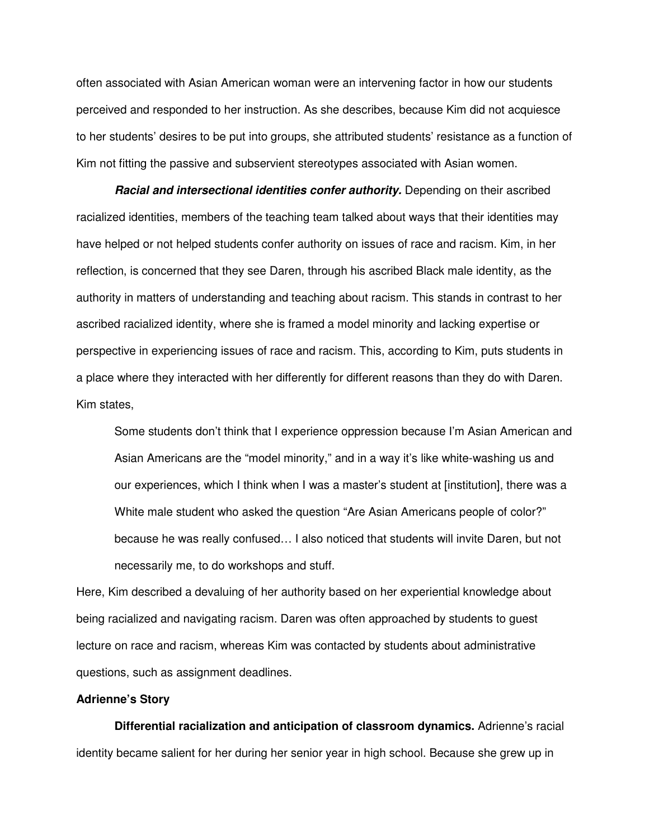often associated with Asian American woman were an intervening factor in how our students perceived and responded to her instruction. As she describes, because Kim did not acquiesce to her students' desires to be put into groups, she attributed students' resistance as a function of Kim not fitting the passive and subservient stereotypes associated with Asian women.

**Racial and intersectional identities confer authority.** Depending on their ascribed racialized identities, members of the teaching team talked about ways that their identities may have helped or not helped students confer authority on issues of race and racism. Kim, in her reflection, is concerned that they see Daren, through his ascribed Black male identity, as the authority in matters of understanding and teaching about racism. This stands in contrast to her ascribed racialized identity, where she is framed a model minority and lacking expertise or perspective in experiencing issues of race and racism. This, according to Kim, puts students in a place where they interacted with her differently for different reasons than they do with Daren. Kim states,

Some students don't think that I experience oppression because I'm Asian American and Asian Americans are the "model minority," and in a way it's like white-washing us and our experiences, which I think when I was a master's student at [institution], there was a White male student who asked the question "Are Asian Americans people of color?" because he was really confused… I also noticed that students will invite Daren, but not necessarily me, to do workshops and stuff.

Here, Kim described a devaluing of her authority based on her experiential knowledge about being racialized and navigating racism. Daren was often approached by students to guest lecture on race and racism, whereas Kim was contacted by students about administrative questions, such as assignment deadlines.

### **Adrienne's Story**

**Differential racialization and anticipation of classroom dynamics.** Adrienne's racial identity became salient for her during her senior year in high school. Because she grew up in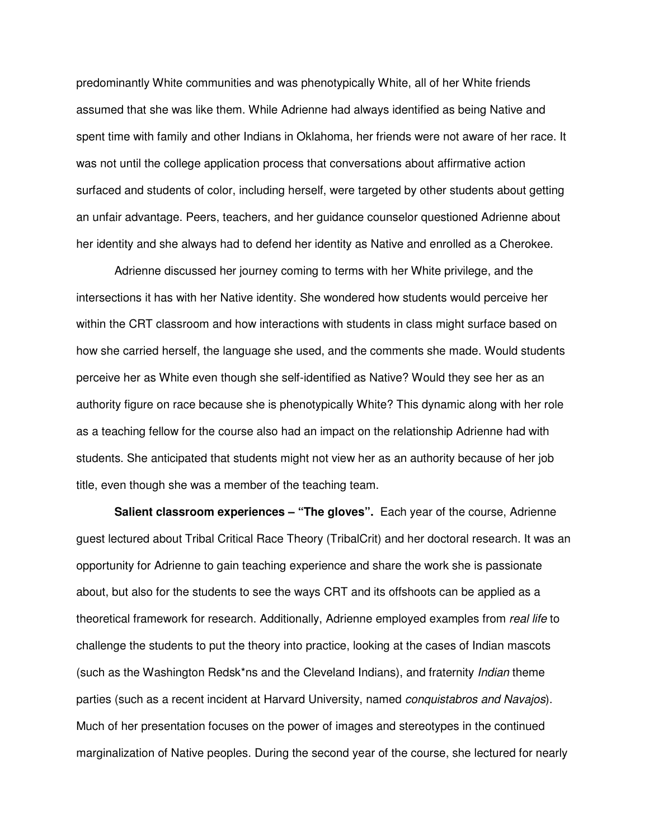predominantly White communities and was phenotypically White, all of her White friends assumed that she was like them. While Adrienne had always identified as being Native and spent time with family and other Indians in Oklahoma, her friends were not aware of her race. It was not until the college application process that conversations about affirmative action surfaced and students of color, including herself, were targeted by other students about getting an unfair advantage. Peers, teachers, and her guidance counselor questioned Adrienne about her identity and she always had to defend her identity as Native and enrolled as a Cherokee.

 Adrienne discussed her journey coming to terms with her White privilege, and the intersections it has with her Native identity. She wondered how students would perceive her within the CRT classroom and how interactions with students in class might surface based on how she carried herself, the language she used, and the comments she made. Would students perceive her as White even though she self-identified as Native? Would they see her as an authority figure on race because she is phenotypically White? This dynamic along with her role as a teaching fellow for the course also had an impact on the relationship Adrienne had with students. She anticipated that students might not view her as an authority because of her job title, even though she was a member of the teaching team.

**Salient classroom experiences – "The gloves".** Each year of the course, Adrienne guest lectured about Tribal Critical Race Theory (TribalCrit) and her doctoral research. It was an opportunity for Adrienne to gain teaching experience and share the work she is passionate about, but also for the students to see the ways CRT and its offshoots can be applied as a theoretical framework for research. Additionally, Adrienne employed examples from real life to challenge the students to put the theory into practice, looking at the cases of Indian mascots (such as the Washington Redsk\*ns and the Cleveland Indians), and fraternity *Indian* theme parties (such as a recent incident at Harvard University, named *conquistabros and Navajos*). Much of her presentation focuses on the power of images and stereotypes in the continued marginalization of Native peoples. During the second year of the course, she lectured for nearly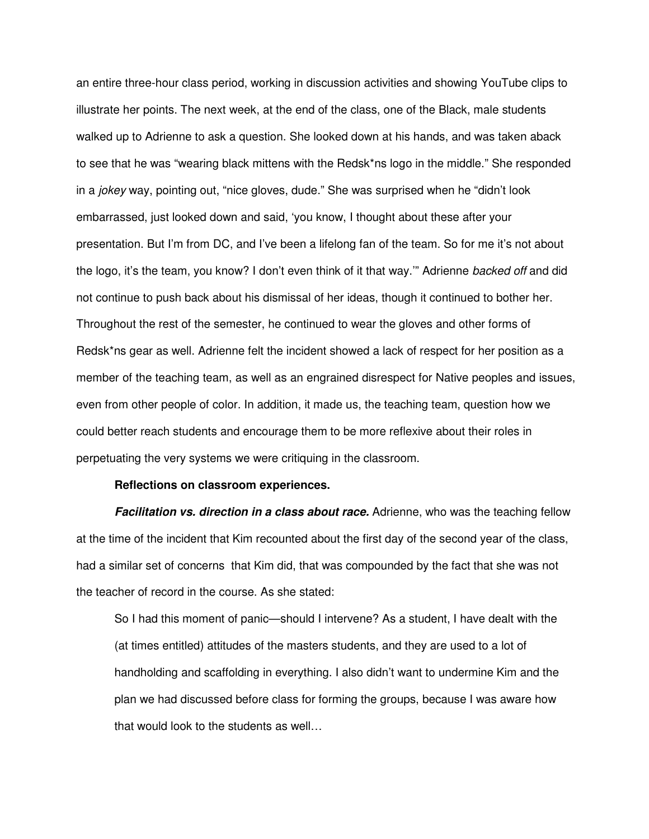an entire three-hour class period, working in discussion activities and showing YouTube clips to illustrate her points. The next week, at the end of the class, one of the Black, male students walked up to Adrienne to ask a question. She looked down at his hands, and was taken aback to see that he was "wearing black mittens with the Redsk\*ns logo in the middle." She responded in a *jokey* way, pointing out, "nice gloves, dude." She was surprised when he "didn't look embarrassed, just looked down and said, 'you know, I thought about these after your presentation. But I'm from DC, and I've been a lifelong fan of the team. So for me it's not about the logo, it's the team, you know? I don't even think of it that way." Adrienne backed off and did not continue to push back about his dismissal of her ideas, though it continued to bother her. Throughout the rest of the semester, he continued to wear the gloves and other forms of Redsk\*ns gear as well. Adrienne felt the incident showed a lack of respect for her position as a member of the teaching team, as well as an engrained disrespect for Native peoples and issues, even from other people of color. In addition, it made us, the teaching team, question how we could better reach students and encourage them to be more reflexive about their roles in perpetuating the very systems we were critiquing in the classroom.

### **Reflections on classroom experiences.**

**Facilitation vs. direction in a class about race.** Adrienne, who was the teaching fellow at the time of the incident that Kim recounted about the first day of the second year of the class, had a similar set of concerns that Kim did, that was compounded by the fact that she was not the teacher of record in the course. As she stated:

So I had this moment of panic—should I intervene? As a student, I have dealt with the (at times entitled) attitudes of the masters students, and they are used to a lot of handholding and scaffolding in everything. I also didn't want to undermine Kim and the plan we had discussed before class for forming the groups, because I was aware how that would look to the students as well…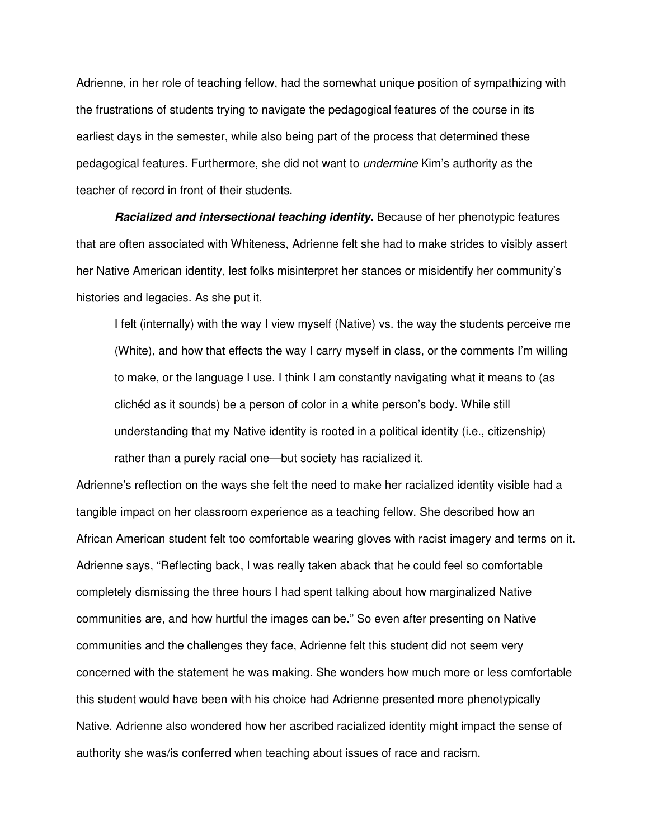Adrienne, in her role of teaching fellow, had the somewhat unique position of sympathizing with the frustrations of students trying to navigate the pedagogical features of the course in its earliest days in the semester, while also being part of the process that determined these pedagogical features. Furthermore, she did not want to undermine Kim's authority as the teacher of record in front of their students.

**Racialized and intersectional teaching identity.** Because of her phenotypic features that are often associated with Whiteness, Adrienne felt she had to make strides to visibly assert her Native American identity, lest folks misinterpret her stances or misidentify her community's histories and legacies. As she put it,

I felt (internally) with the way I view myself (Native) vs. the way the students perceive me (White), and how that effects the way I carry myself in class, or the comments I'm willing to make, or the language I use. I think I am constantly navigating what it means to (as clichéd as it sounds) be a person of color in a white person's body. While still understanding that my Native identity is rooted in a political identity (i.e., citizenship) rather than a purely racial one—but society has racialized it.

Adrienne's reflection on the ways she felt the need to make her racialized identity visible had a tangible impact on her classroom experience as a teaching fellow. She described how an African American student felt too comfortable wearing gloves with racist imagery and terms on it. Adrienne says, "Reflecting back, I was really taken aback that he could feel so comfortable completely dismissing the three hours I had spent talking about how marginalized Native communities are, and how hurtful the images can be." So even after presenting on Native communities and the challenges they face, Adrienne felt this student did not seem very concerned with the statement he was making. She wonders how much more or less comfortable this student would have been with his choice had Adrienne presented more phenotypically Native. Adrienne also wondered how her ascribed racialized identity might impact the sense of authority she was/is conferred when teaching about issues of race and racism.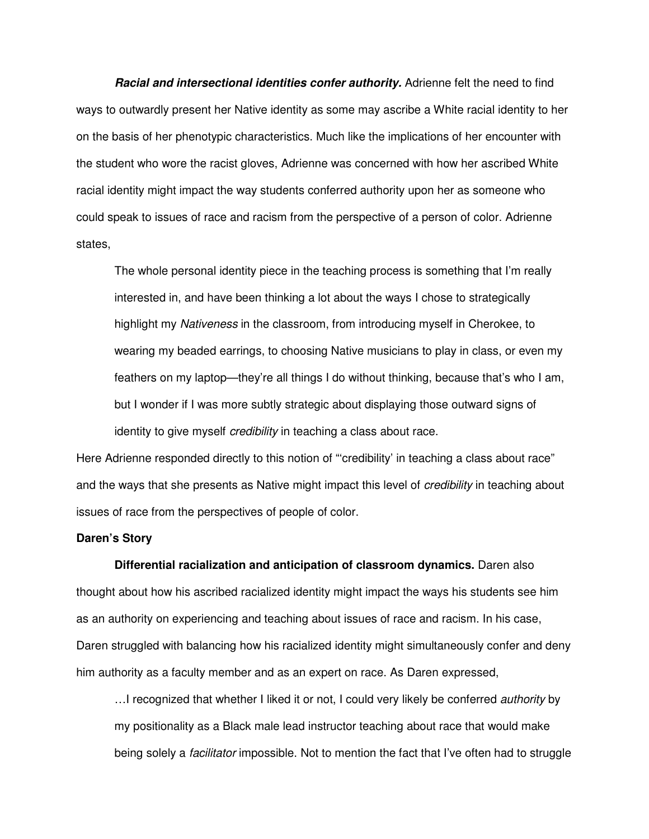**Racial and intersectional identities confer authority.** Adrienne felt the need to find ways to outwardly present her Native identity as some may ascribe a White racial identity to her on the basis of her phenotypic characteristics. Much like the implications of her encounter with the student who wore the racist gloves, Adrienne was concerned with how her ascribed White racial identity might impact the way students conferred authority upon her as someone who could speak to issues of race and racism from the perspective of a person of color. Adrienne states,

The whole personal identity piece in the teaching process is something that I'm really interested in, and have been thinking a lot about the ways I chose to strategically highlight my Nativeness in the classroom, from introducing myself in Cherokee, to wearing my beaded earrings, to choosing Native musicians to play in class, or even my feathers on my laptop—they're all things I do without thinking, because that's who I am, but I wonder if I was more subtly strategic about displaying those outward signs of identity to give myself *credibility* in teaching a class about race.

Here Adrienne responded directly to this notion of "credibility' in teaching a class about race" and the ways that she presents as Native might impact this level of *credibility* in teaching about issues of race from the perspectives of people of color.

# **Daren's Story**

**Differential racialization and anticipation of classroom dynamics.** Daren also thought about how his ascribed racialized identity might impact the ways his students see him as an authority on experiencing and teaching about issues of race and racism. In his case, Daren struggled with balancing how his racialized identity might simultaneously confer and deny him authority as a faculty member and as an expert on race. As Daren expressed,

...I recognized that whether I liked it or not, I could very likely be conferred authority by my positionality as a Black male lead instructor teaching about race that would make being solely a *facilitator* impossible. Not to mention the fact that I've often had to struggle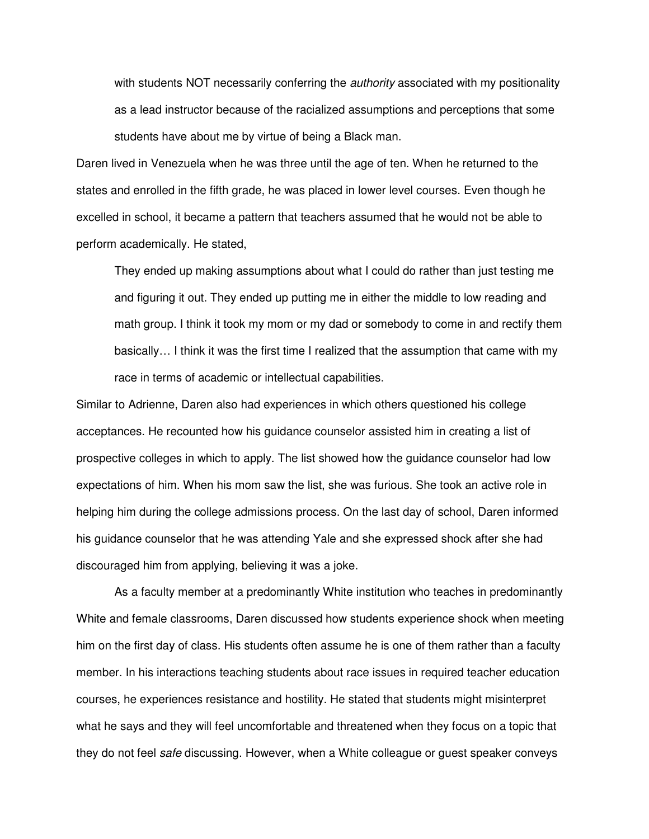with students NOT necessarily conferring the *authority* associated with my positionality as a lead instructor because of the racialized assumptions and perceptions that some students have about me by virtue of being a Black man.

Daren lived in Venezuela when he was three until the age of ten. When he returned to the states and enrolled in the fifth grade, he was placed in lower level courses. Even though he excelled in school, it became a pattern that teachers assumed that he would not be able to perform academically. He stated,

They ended up making assumptions about what I could do rather than just testing me and figuring it out. They ended up putting me in either the middle to low reading and math group. I think it took my mom or my dad or somebody to come in and rectify them basically… I think it was the first time I realized that the assumption that came with my race in terms of academic or intellectual capabilities.

Similar to Adrienne, Daren also had experiences in which others questioned his college acceptances. He recounted how his guidance counselor assisted him in creating a list of prospective colleges in which to apply. The list showed how the guidance counselor had low expectations of him. When his mom saw the list, she was furious. She took an active role in helping him during the college admissions process. On the last day of school, Daren informed his guidance counselor that he was attending Yale and she expressed shock after she had discouraged him from applying, believing it was a joke.

 As a faculty member at a predominantly White institution who teaches in predominantly White and female classrooms, Daren discussed how students experience shock when meeting him on the first day of class. His students often assume he is one of them rather than a faculty member. In his interactions teaching students about race issues in required teacher education courses, he experiences resistance and hostility. He stated that students might misinterpret what he says and they will feel uncomfortable and threatened when they focus on a topic that they do not feel safe discussing. However, when a White colleague or quest speaker conveys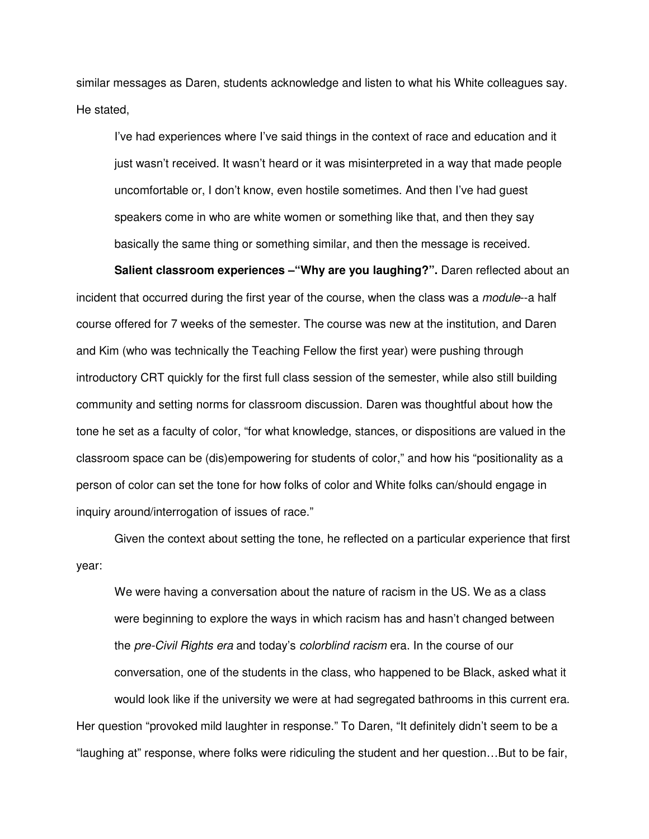similar messages as Daren, students acknowledge and listen to what his White colleagues say. He stated,

I've had experiences where I've said things in the context of race and education and it just wasn't received. It wasn't heard or it was misinterpreted in a way that made people uncomfortable or, I don't know, even hostile sometimes. And then I've had guest speakers come in who are white women or something like that, and then they say basically the same thing or something similar, and then the message is received.

**Salient classroom experiences – "Why are you laughing?".** Daren reflected about an incident that occurred during the first year of the course, when the class was a *module*--a half course offered for 7 weeks of the semester. The course was new at the institution, and Daren and Kim (who was technically the Teaching Fellow the first year) were pushing through introductory CRT quickly for the first full class session of the semester, while also still building community and setting norms for classroom discussion. Daren was thoughtful about how the tone he set as a faculty of color, "for what knowledge, stances, or dispositions are valued in the classroom space can be (dis)empowering for students of color," and how his "positionality as a person of color can set the tone for how folks of color and White folks can/should engage in inquiry around/interrogation of issues of race."

Given the context about setting the tone, he reflected on a particular experience that first year:

We were having a conversation about the nature of racism in the US. We as a class were beginning to explore the ways in which racism has and hasn't changed between the pre-Civil Rights era and today's colorblind racism era. In the course of our conversation, one of the students in the class, who happened to be Black, asked what it would look like if the university we were at had segregated bathrooms in this current era. Her question "provoked mild laughter in response." To Daren, "It definitely didn't seem to be a "laughing at" response, where folks were ridiculing the student and her question…But to be fair,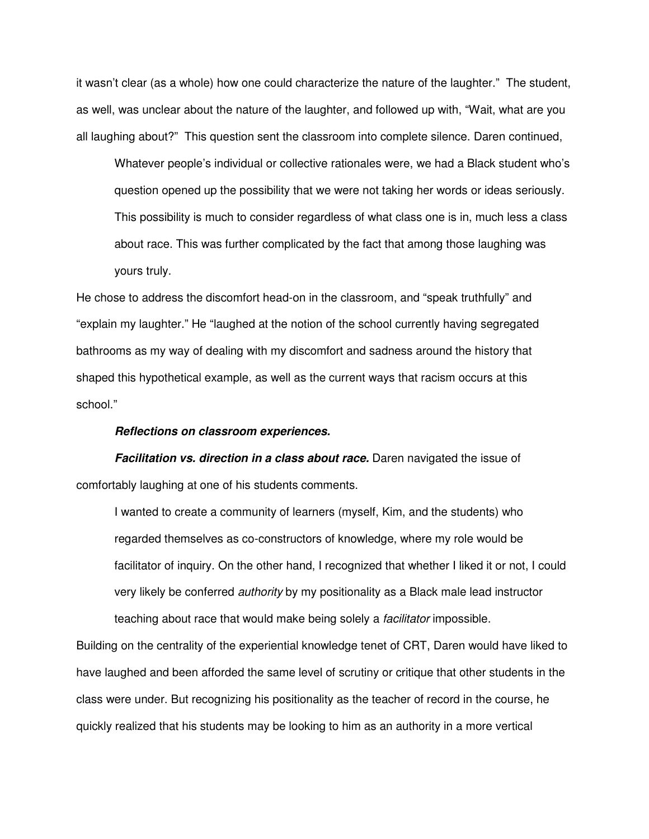it wasn't clear (as a whole) how one could characterize the nature of the laughter." The student, as well, was unclear about the nature of the laughter, and followed up with, "Wait, what are you all laughing about?" This question sent the classroom into complete silence. Daren continued,

Whatever people's individual or collective rationales were, we had a Black student who's question opened up the possibility that we were not taking her words or ideas seriously. This possibility is much to consider regardless of what class one is in, much less a class about race. This was further complicated by the fact that among those laughing was yours truly.

He chose to address the discomfort head-on in the classroom, and "speak truthfully" and "explain my laughter." He "laughed at the notion of the school currently having segregated bathrooms as my way of dealing with my discomfort and sadness around the history that shaped this hypothetical example, as well as the current ways that racism occurs at this school."

### **Reflections on classroom experiences.**

**Facilitation vs. direction in a class about race.** Daren navigated the issue of comfortably laughing at one of his students comments.

I wanted to create a community of learners (myself, Kim, and the students) who regarded themselves as co-constructors of knowledge, where my role would be facilitator of inquiry. On the other hand, I recognized that whether I liked it or not, I could very likely be conferred authority by my positionality as a Black male lead instructor teaching about race that would make being solely a *facilitator* impossible.

Building on the centrality of the experiential knowledge tenet of CRT, Daren would have liked to have laughed and been afforded the same level of scrutiny or critique that other students in the class were under. But recognizing his positionality as the teacher of record in the course, he quickly realized that his students may be looking to him as an authority in a more vertical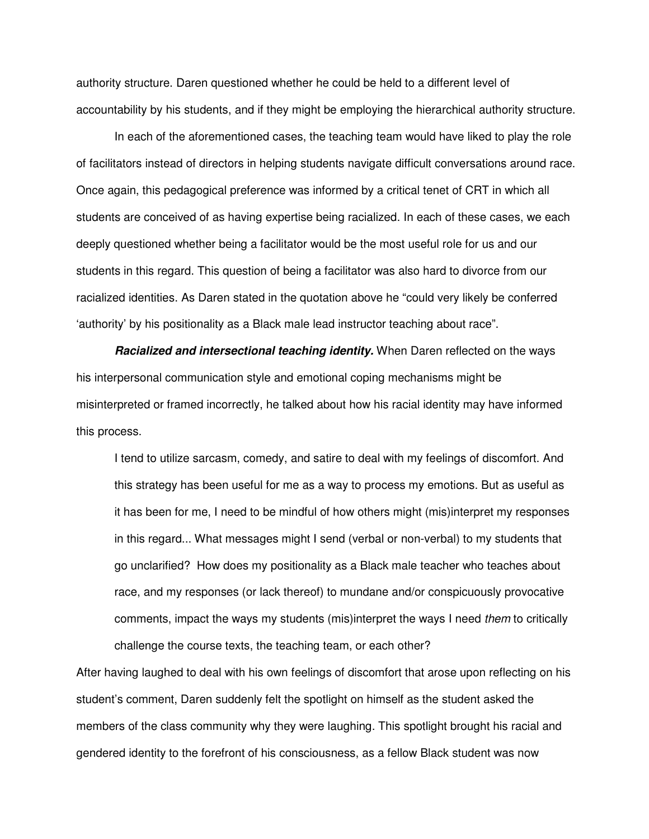authority structure. Daren questioned whether he could be held to a different level of accountability by his students, and if they might be employing the hierarchical authority structure.

 In each of the aforementioned cases, the teaching team would have liked to play the role of facilitators instead of directors in helping students navigate difficult conversations around race. Once again, this pedagogical preference was informed by a critical tenet of CRT in which all students are conceived of as having expertise being racialized. In each of these cases, we each deeply questioned whether being a facilitator would be the most useful role for us and our students in this regard. This question of being a facilitator was also hard to divorce from our racialized identities. As Daren stated in the quotation above he "could very likely be conferred 'authority' by his positionality as a Black male lead instructor teaching about race".

**Racialized and intersectional teaching identity.** When Daren reflected on the ways his interpersonal communication style and emotional coping mechanisms might be misinterpreted or framed incorrectly, he talked about how his racial identity may have informed this process.

I tend to utilize sarcasm, comedy, and satire to deal with my feelings of discomfort. And this strategy has been useful for me as a way to process my emotions. But as useful as it has been for me, I need to be mindful of how others might (mis)interpret my responses in this regard... What messages might I send (verbal or non-verbal) to my students that go unclarified? How does my positionality as a Black male teacher who teaches about race, and my responses (or lack thereof) to mundane and/or conspicuously provocative comments, impact the ways my students (mis)interpret the ways I need *them* to critically challenge the course texts, the teaching team, or each other?

After having laughed to deal with his own feelings of discomfort that arose upon reflecting on his student's comment, Daren suddenly felt the spotlight on himself as the student asked the members of the class community why they were laughing. This spotlight brought his racial and gendered identity to the forefront of his consciousness, as a fellow Black student was now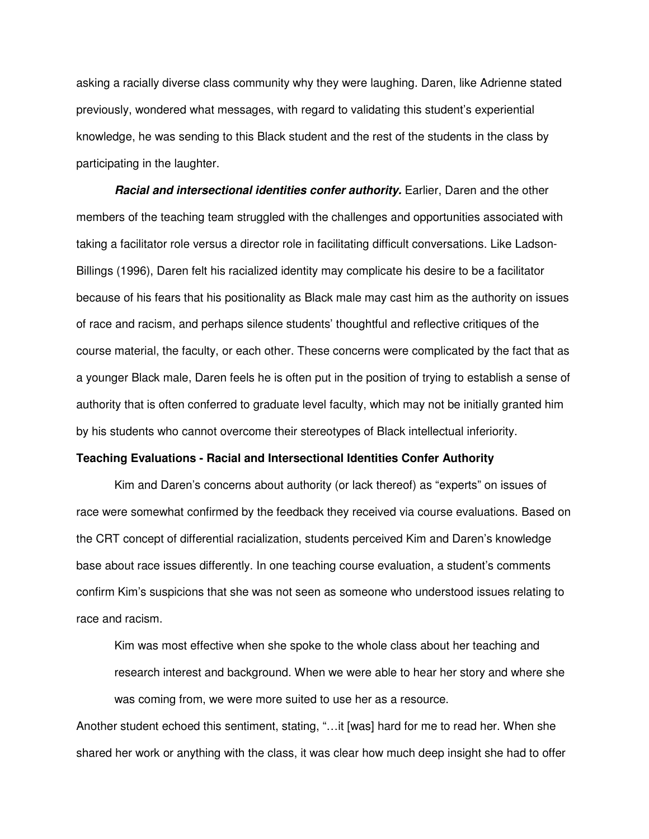asking a racially diverse class community why they were laughing. Daren, like Adrienne stated previously, wondered what messages, with regard to validating this student's experiential knowledge, he was sending to this Black student and the rest of the students in the class by participating in the laughter.

**Racial and intersectional identities confer authority.** Earlier, Daren and the other members of the teaching team struggled with the challenges and opportunities associated with taking a facilitator role versus a director role in facilitating difficult conversations. Like Ladson-Billings (1996), Daren felt his racialized identity may complicate his desire to be a facilitator because of his fears that his positionality as Black male may cast him as the authority on issues of race and racism, and perhaps silence students' thoughtful and reflective critiques of the course material, the faculty, or each other. These concerns were complicated by the fact that as a younger Black male, Daren feels he is often put in the position of trying to establish a sense of authority that is often conferred to graduate level faculty, which may not be initially granted him by his students who cannot overcome their stereotypes of Black intellectual inferiority.

### **Teaching Evaluations - Racial and Intersectional Identities Confer Authority**

Kim and Daren's concerns about authority (or lack thereof) as "experts" on issues of race were somewhat confirmed by the feedback they received via course evaluations. Based on the CRT concept of differential racialization, students perceived Kim and Daren's knowledge base about race issues differently. In one teaching course evaluation, a student's comments confirm Kim's suspicions that she was not seen as someone who understood issues relating to race and racism.

Kim was most effective when she spoke to the whole class about her teaching and research interest and background. When we were able to hear her story and where she was coming from, we were more suited to use her as a resource.

Another student echoed this sentiment, stating, "…it [was] hard for me to read her. When she shared her work or anything with the class, it was clear how much deep insight she had to offer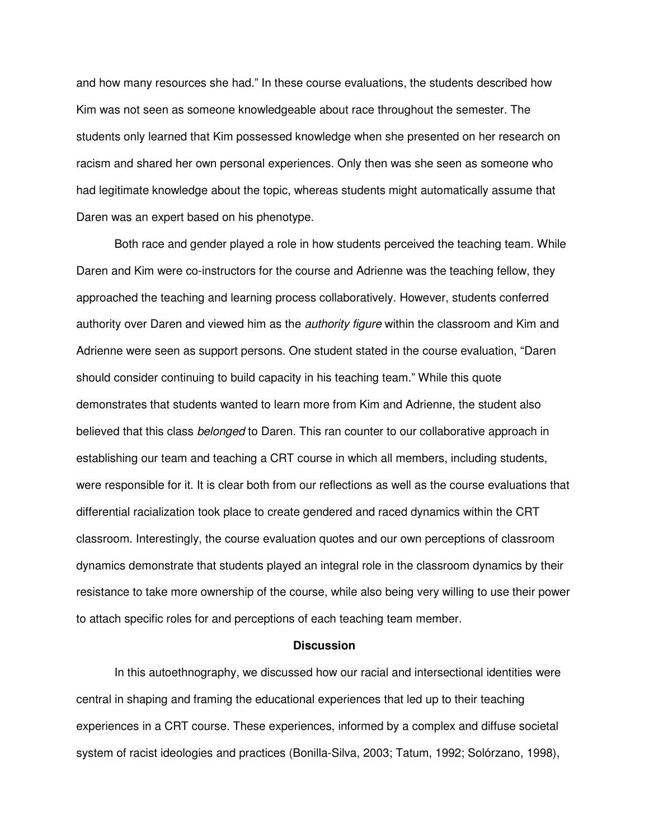and how many resources she had." In these course evaluations, the students described how Kim was not seen as someone knowledgeable about race throughout the semester. The students only learned that Kim possessed knowledge when she presented on her research on racism and shared her own personal experiences. Only then was she seen as someone who had legitimate knowledge about the topic, whereas students might automatically assume that Daren was an expert based on his phenotype.

 Both race and gender played a role in how students perceived the teaching team. While Daren and Kim were co-instructors for the course and Adrienne was the teaching fellow, they approached the teaching and learning process collaboratively. However, students conferred authority over Daren and viewed him as the *authority figure* within the classroom and Kim and Adrienne were seen as support persons. One student stated in the course evaluation, "Daren should consider continuing to build capacity in his teaching team." While this quote demonstrates that students wanted to learn more from Kim and Adrienne, the student also believed that this class *belonged* to Daren. This ran counter to our collaborative approach in establishing our team and teaching a CRT course in which all members, including students, were responsible for it. It is clear both from our reflections as well as the course evaluations that differential racialization took place to create gendered and raced dynamics within the CRT classroom. Interestingly, the course evaluation quotes and our own perceptions of classroom dynamics demonstrate that students played an integral role in the classroom dynamics by their resistance to take more ownership of the course, while also being very willing to use their power to attach specific roles for and perceptions of each teaching team member.

### **Discussion**

In this autoethnography, we discussed how our racial and intersectional identities were central in shaping and framing the educational experiences that led up to their teaching experiences in a CRT course. These experiences, informed by a complex and diffuse societal system of racist ideologies and practices (Bonilla-Silva, 2003; Tatum, 1992; Solórzano, 1998),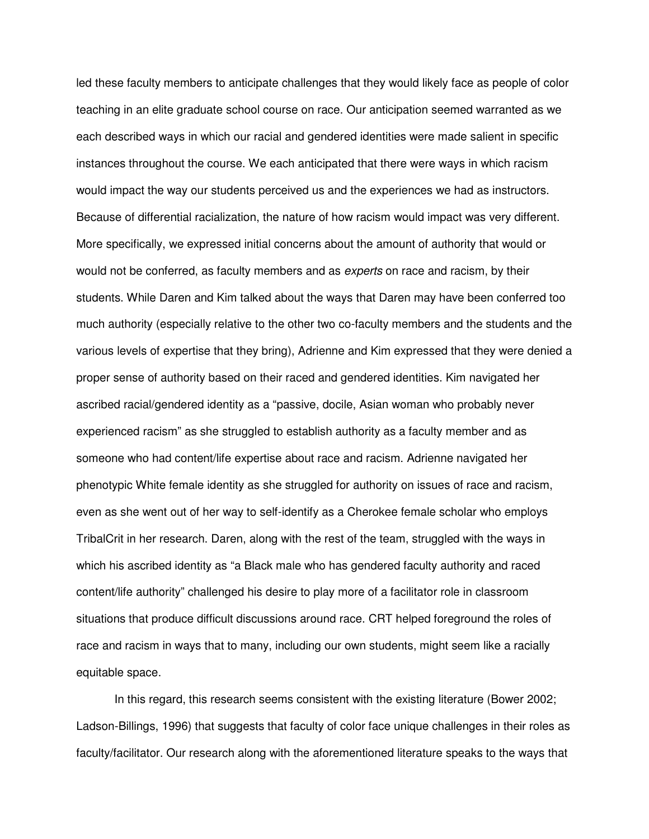led these faculty members to anticipate challenges that they would likely face as people of color teaching in an elite graduate school course on race. Our anticipation seemed warranted as we each described ways in which our racial and gendered identities were made salient in specific instances throughout the course. We each anticipated that there were ways in which racism would impact the way our students perceived us and the experiences we had as instructors. Because of differential racialization, the nature of how racism would impact was very different. More specifically, we expressed initial concerns about the amount of authority that would or would not be conferred, as faculty members and as *experts* on race and racism, by their students. While Daren and Kim talked about the ways that Daren may have been conferred too much authority (especially relative to the other two co-faculty members and the students and the various levels of expertise that they bring), Adrienne and Kim expressed that they were denied a proper sense of authority based on their raced and gendered identities. Kim navigated her ascribed racial/gendered identity as a "passive, docile, Asian woman who probably never experienced racism" as she struggled to establish authority as a faculty member and as someone who had content/life expertise about race and racism. Adrienne navigated her phenotypic White female identity as she struggled for authority on issues of race and racism, even as she went out of her way to self-identify as a Cherokee female scholar who employs TribalCrit in her research. Daren, along with the rest of the team, struggled with the ways in which his ascribed identity as "a Black male who has gendered faculty authority and raced content/life authority" challenged his desire to play more of a facilitator role in classroom situations that produce difficult discussions around race. CRT helped foreground the roles of race and racism in ways that to many, including our own students, might seem like a racially equitable space.

 In this regard, this research seems consistent with the existing literature (Bower 2002; Ladson-Billings, 1996) that suggests that faculty of color face unique challenges in their roles as faculty/facilitator. Our research along with the aforementioned literature speaks to the ways that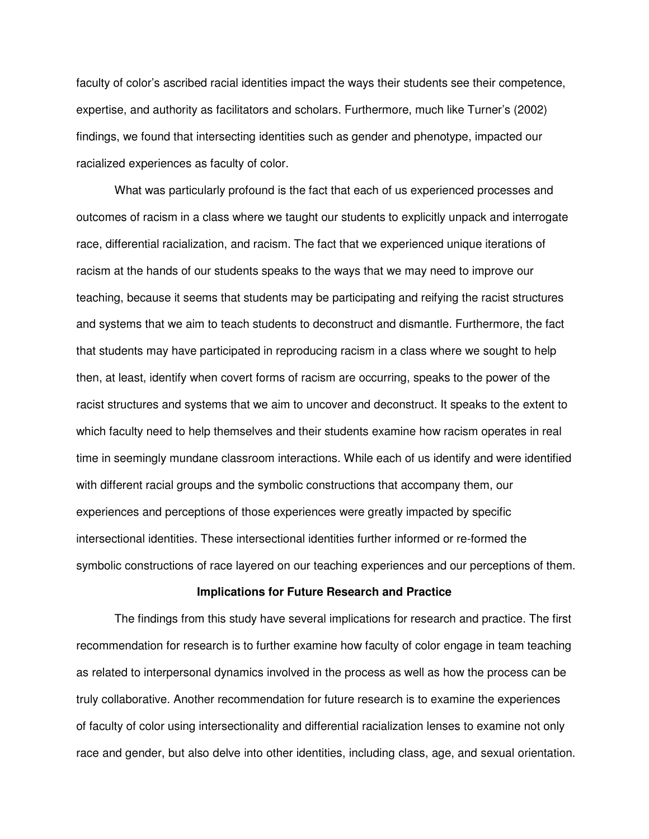faculty of color's ascribed racial identities impact the ways their students see their competence, expertise, and authority as facilitators and scholars. Furthermore, much like Turner's (2002) findings, we found that intersecting identities such as gender and phenotype, impacted our racialized experiences as faculty of color.

What was particularly profound is the fact that each of us experienced processes and outcomes of racism in a class where we taught our students to explicitly unpack and interrogate race, differential racialization, and racism. The fact that we experienced unique iterations of racism at the hands of our students speaks to the ways that we may need to improve our teaching, because it seems that students may be participating and reifying the racist structures and systems that we aim to teach students to deconstruct and dismantle. Furthermore, the fact that students may have participated in reproducing racism in a class where we sought to help then, at least, identify when covert forms of racism are occurring, speaks to the power of the racist structures and systems that we aim to uncover and deconstruct. It speaks to the extent to which faculty need to help themselves and their students examine how racism operates in real time in seemingly mundane classroom interactions. While each of us identify and were identified with different racial groups and the symbolic constructions that accompany them, our experiences and perceptions of those experiences were greatly impacted by specific intersectional identities. These intersectional identities further informed or re-formed the symbolic constructions of race layered on our teaching experiences and our perceptions of them.

### **Implications for Future Research and Practice**

The findings from this study have several implications for research and practice. The first recommendation for research is to further examine how faculty of color engage in team teaching as related to interpersonal dynamics involved in the process as well as how the process can be truly collaborative. Another recommendation for future research is to examine the experiences of faculty of color using intersectionality and differential racialization lenses to examine not only race and gender, but also delve into other identities, including class, age, and sexual orientation.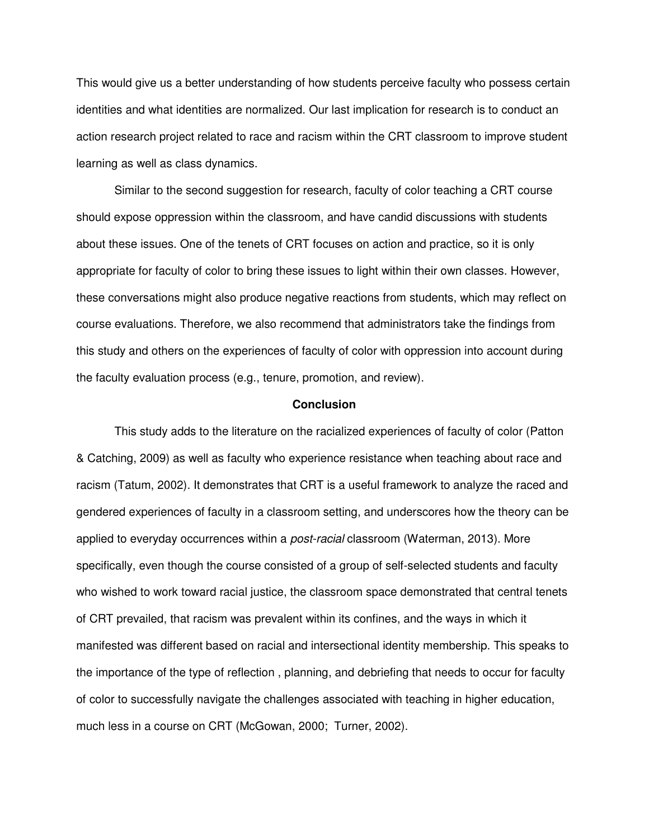This would give us a better understanding of how students perceive faculty who possess certain identities and what identities are normalized. Our last implication for research is to conduct an action research project related to race and racism within the CRT classroom to improve student learning as well as class dynamics.

 Similar to the second suggestion for research, faculty of color teaching a CRT course should expose oppression within the classroom, and have candid discussions with students about these issues. One of the tenets of CRT focuses on action and practice, so it is only appropriate for faculty of color to bring these issues to light within their own classes. However, these conversations might also produce negative reactions from students, which may reflect on course evaluations. Therefore, we also recommend that administrators take the findings from this study and others on the experiences of faculty of color with oppression into account during the faculty evaluation process (e.g., tenure, promotion, and review).

### **Conclusion**

This study adds to the literature on the racialized experiences of faculty of color (Patton & Catching, 2009) as well as faculty who experience resistance when teaching about race and racism (Tatum, 2002). It demonstrates that CRT is a useful framework to analyze the raced and gendered experiences of faculty in a classroom setting, and underscores how the theory can be applied to everyday occurrences within a *post-racial* classroom (Waterman, 2013). More specifically, even though the course consisted of a group of self-selected students and faculty who wished to work toward racial justice, the classroom space demonstrated that central tenets of CRT prevailed, that racism was prevalent within its confines, and the ways in which it manifested was different based on racial and intersectional identity membership. This speaks to the importance of the type of reflection , planning, and debriefing that needs to occur for faculty of color to successfully navigate the challenges associated with teaching in higher education, much less in a course on CRT (McGowan, 2000; Turner, 2002).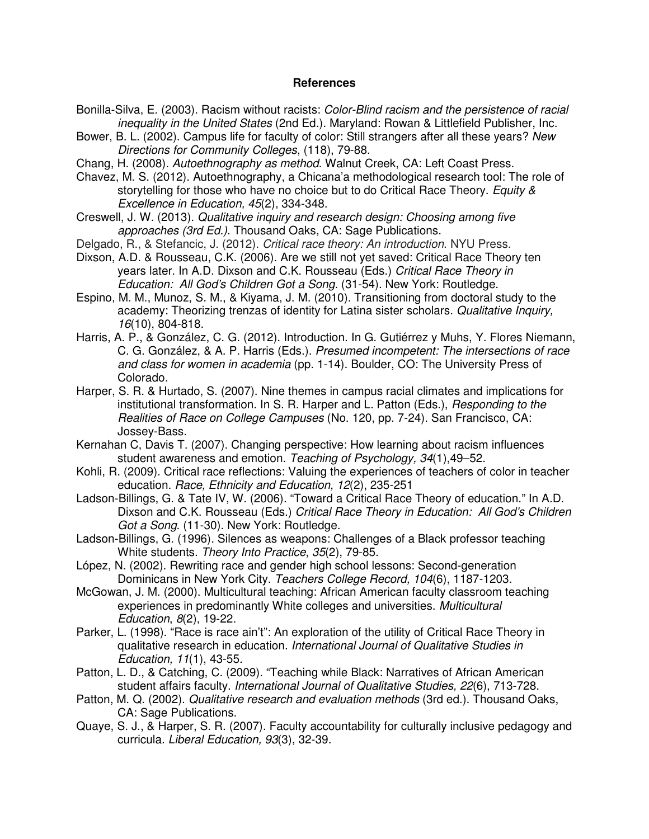# **References**

- Bonilla-Silva, E. (2003). Racism without racists: Color-Blind racism and the persistence of racial inequality in the United States (2nd Ed.). Maryland: Rowan & Littlefield Publisher, Inc.
- Bower, B. L. (2002). Campus life for faculty of color: Still strangers after all these years? New Directions for Community Colleges, (118), 79-88.
- Chang, H. (2008). Autoethnography as method. Walnut Creek, CA: Left Coast Press.
- Chavez, M. S. (2012). Autoethnography, a Chicana'a methodological research tool: The role of storytelling for those who have no choice but to do Critical Race Theory. Equity & Excellence in Education, 45(2), 334-348.
- Creswell, J. W. (2013). Qualitative inquiry and research design: Choosing among five approaches (3rd Ed.). Thousand Oaks, CA: Sage Publications.
- Delgado, R., & Stefancic, J. (2012). Critical race theory: An introduction. NYU Press.
- Dixson, A.D. & Rousseau, C.K. (2006). Are we still not yet saved: Critical Race Theory ten years later. In A.D. Dixson and C.K. Rousseau (Eds.) Critical Race Theory in Education: All God's Children Got a Song. (31-54). New York: Routledge.
- Espino, M. M., Munoz, S. M., & Kiyama, J. M. (2010). Transitioning from doctoral study to the academy: Theorizing trenzas of identity for Latina sister scholars. Qualitative Inquiry, 16(10), 804-818.
- Harris, A. P., & González, C. G. (2012). Introduction. In G. Gutiérrez y Muhs, Y. Flores Niemann, C. G. González, & A. P. Harris (Eds.). Presumed incompetent: The intersections of race and class for women in academia (pp. 1-14). Boulder, CO: The University Press of Colorado.
- Harper, S. R. & Hurtado, S. (2007). Nine themes in campus racial climates and implications for institutional transformation. In S. R. Harper and L. Patton (Eds.), Responding to the Realities of Race on College Campuses (No. 120, pp. 7-24). San Francisco, CA: Jossey-Bass.
- Kernahan C, Davis T. (2007). Changing perspective: How learning about racism influences student awareness and emotion. Teaching of Psychology, 34(1),49–52.
- Kohli, R. (2009). Critical race reflections: Valuing the experiences of teachers of color in teacher education. Race, Ethnicity and Education, 12(2), 235-251
- Ladson-Billings, G. & Tate IV, W. (2006). "Toward a Critical Race Theory of education." In A.D. Dixson and C.K. Rousseau (Eds.) Critical Race Theory in Education: All God's Children Got a Song. (11-30). New York: Routledge.
- Ladson-Billings, G. (1996). Silences as weapons: Challenges of a Black professor teaching White students. Theory Into Practice, 35(2), 79-85.
- López, N. (2002). Rewriting race and gender high school lessons: Second-generation Dominicans in New York City. Teachers College Record, 104(6), 1187-1203.
- McGowan, J. M. (2000). Multicultural teaching: African American faculty classroom teaching experiences in predominantly White colleges and universities. Multicultural Education, 8(2), 19-22.
- Parker, L. (1998). "Race is race ain't": An exploration of the utility of Critical Race Theory in qualitative research in education. International Journal of Qualitative Studies in Education, 11(1), 43-55.
- Patton, L. D., & Catching, C. (2009). "Teaching while Black: Narratives of African American student affairs faculty. International Journal of Qualitative Studies, 22(6), 713-728.
- Patton, M. Q. (2002). Qualitative research and evaluation methods (3rd ed.). Thousand Oaks, CA: Sage Publications.
- Quaye, S. J., & Harper, S. R. (2007). Faculty accountability for culturally inclusive pedagogy and curricula. Liberal Education, 93(3), 32-39.